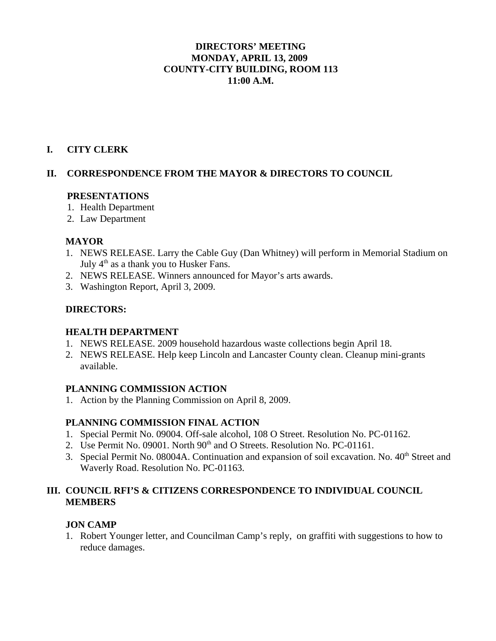# **DIRECTORS' MEETING MONDAY, APRIL 13, 2009 COUNTY-CITY BUILDING, ROOM 113 11:00 A.M.**

### **I. CITY CLERK**

### **II. CORRESPONDENCE FROM THE MAYOR & DIRECTORS TO COUNCIL**

### **PRESENTATIONS**

- 1. Health Department
- 2. Law Department

### **MAYOR**

- 1. NEWS RELEASE. Larry the Cable Guy (Dan Whitney) will perform in Memorial Stadium on July  $4<sup>th</sup>$  as a thank you to Husker Fans.
- 2. NEWS RELEASE. Winners announced for Mayor's arts awards.
- 3. Washington Report, April 3, 2009.

# **DIRECTORS:**

### **HEALTH DEPARTMENT**

- 1. NEWS RELEASE. 2009 household hazardous waste collections begin April 18.
- 2. NEWS RELEASE. Help keep Lincoln and Lancaster County clean. Cleanup mini-grants available.

### **PLANNING COMMISSION ACTION**

1. Action by the Planning Commission on April 8, 2009.

# **PLANNING COMMISSION FINAL ACTION**

- 1. Special Permit No. 09004. Off-sale alcohol, 108 O Street. Resolution No. PC-01162.
- 2. Use Permit No. 09001. North 90<sup>th</sup> and O Streets. Resolution No. PC-01161.
- 3. Special Permit No. 08004A. Continuation and expansion of soil excavation. No.  $40<sup>th</sup>$  Street and Waverly Road. Resolution No. PC-01163.

# **III. COUNCIL RFI'S & CITIZENS CORRESPONDENCE TO INDIVIDUAL COUNCIL MEMBERS**

# **JON CAMP**

1. Robert Younger letter, and Councilman Camp's reply, on graffiti with suggestions to how to reduce damages.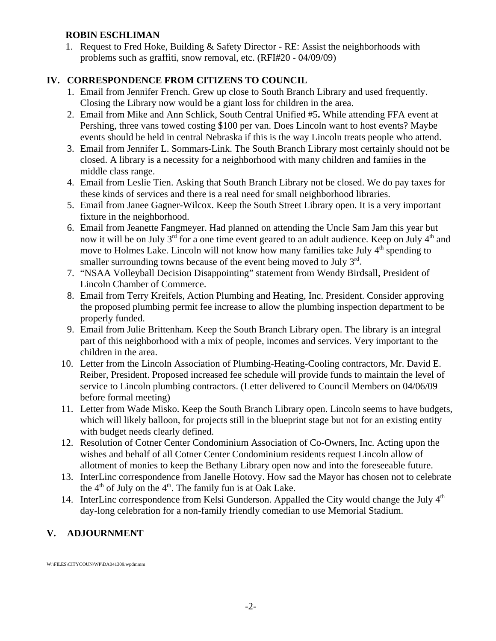# **ROBIN ESCHLIMAN**

1. Request to Fred Hoke, Building & Safety Director - RE: Assist the neighborhoods with problems such as graffiti, snow removal, etc. (RFI#20 - 04/09/09)

# **IV. CORRESPONDENCE FROM CITIZENS TO COUNCIL**

- 1. Email from Jennifer French. Grew up close to South Branch Library and used frequently. Closing the Library now would be a giant loss for children in the area.
- 2. Email from Mike and Ann Schlick, South Central Unified #5**.** While attending FFA event at Pershing, three vans towed costing \$100 per van. Does Lincoln want to host events? Maybe events should be held in central Nebraska if this is the way Lincoln treats people who attend.
- 3. Email from Jennifer L. Sommars-Link. The South Branch Library most certainly should not be closed. A library is a necessity for a neighborhood with many children and famiies in the middle class range.
- 4. Email from Leslie Tien. Asking that South Branch Library not be closed. We do pay taxes for these kinds of services and there is a real need for small neighborhood libraries.
- 5. Email from Janee Gagner-Wilcox. Keep the South Street Library open. It is a very important fixture in the neighborhood.
- 6. Email from Jeanette Fangmeyer. Had planned on attending the Uncle Sam Jam this year but now it will be on July  $3<sup>rd</sup>$  for a one time event geared to an adult audience. Keep on July  $4<sup>th</sup>$  and move to Holmes Lake. Lincoln will not know how many families take July  $4<sup>th</sup>$  spending to smaller surrounding towns because of the event being moved to July 3<sup>rd</sup>.
- 7. "NSAA Volleyball Decision Disappointing" statement from Wendy Birdsall, President of Lincoln Chamber of Commerce.
- 8. Email from Terry Kreifels, Action Plumbing and Heating, Inc. President. Consider approving the proposed plumbing permit fee increase to allow the plumbing inspection department to be properly funded.
- 9. Email from Julie Brittenham. Keep the South Branch Library open. The library is an integral part of this neighborhood with a mix of people, incomes and services. Very important to the children in the area.
- 10. Letter from the Lincoln Association of Plumbing-Heating-Cooling contractors, Mr. David E. Reiber, President. Proposed increased fee schedule will provide funds to maintain the level of service to Lincoln plumbing contractors. (Letter delivered to Council Members on 04/06/09 before formal meeting)
- 11. Letter from Wade Misko. Keep the South Branch Library open. Lincoln seems to have budgets, which will likely balloon, for projects still in the blueprint stage but not for an existing entity with budget needs clearly defined.
- 12. Resolution of Cotner Center Condominium Association of Co-Owners, Inc. Acting upon the wishes and behalf of all Cotner Center Condominium residents request Lincoln allow of allotment of monies to keep the Bethany Library open now and into the foreseeable future.
- 13. InterLinc correspondence from Janelle Hotovy. How sad the Mayor has chosen not to celebrate the  $4<sup>th</sup>$  of July on the  $4<sup>th</sup>$ . The family fun is at Oak Lake.
- 14. InterLinc correspondence from Kelsi Gunderson. Appalled the City would change the July  $4<sup>th</sup>$ day-long celebration for a non-family friendly comedian to use Memorial Stadium.

# **V. ADJOURNMENT**

W:\FILES\CITYCOUN\WP\DA041309.wpdmmm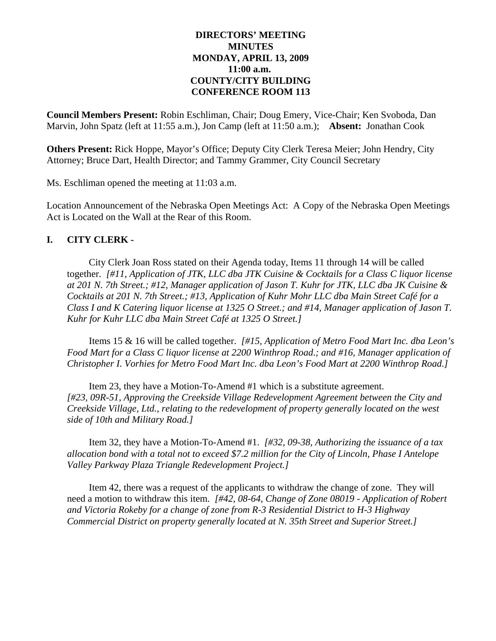### **DIRECTORS' MEETING MINUTES MONDAY, APRIL 13, 2009 11:00 a.m. COUNTY/CITY BUILDING CONFERENCE ROOM 113**

**Council Members Present:** Robin Eschliman, Chair; Doug Emery, Vice-Chair; Ken Svoboda, Dan Marvin, John Spatz (left at 11:55 a.m.), Jon Camp (left at 11:50 a.m.); **Absent:** Jonathan Cook

**Others Present:** Rick Hoppe, Mayor's Office; Deputy City Clerk Teresa Meier; John Hendry, City Attorney; Bruce Dart, Health Director; and Tammy Grammer, City Council Secretary

Ms. Eschliman opened the meeting at 11:03 a.m.

Location Announcement of the Nebraska Open Meetings Act: A Copy of the Nebraska Open Meetings Act is Located on the Wall at the Rear of this Room.

### **I. CITY CLERK -**

City Clerk Joan Ross stated on their Agenda today, Items 11 through 14 will be called together. *[#11, Application of JTK, LLC dba JTK Cuisine & Cocktails for a Class C liquor license at 201 N. 7th Street.; #12, Manager application of Jason T. Kuhr for JTK, LLC dba JK Cuisine & Cocktails at 201 N. 7th Street.; #13, Application of Kuhr Mohr LLC dba Main Street Café for a Class I and K Catering liquor license at 1325 O Street.; and #14, Manager application of Jason T. Kuhr for Kuhr LLC dba Main Street Café at 1325 O Street.]*

Items 15 & 16 will be called together. *[#15, Application of Metro Food Mart Inc. dba Leon's Food Mart for a Class C liquor license at 2200 Winthrop Road.; and #16, Manager application of Christopher I. Vorhies for Metro Food Mart Inc. dba Leon's Food Mart at 2200 Winthrop Road.]*

Item 23, they have a Motion-To-Amend #1 which is a substitute agreement. *[#23, 09R-51, Approving the Creekside Village Redevelopment Agreement between the City and Creekside Village, Ltd., relating to the redevelopment of property generally located on the west side of 10th and Military Road.]*

Item 32, they have a Motion-To-Amend #1. *[#32, 09-38, Authorizing the issuance of a tax allocation bond with a total not to exceed \$7.2 million for the City of Lincoln, Phase I Antelope Valley Parkway Plaza Triangle Redevelopment Project.]*

Item 42, there was a request of the applicants to withdraw the change of zone. They will need a motion to withdraw this item. *[#42, 08-64, Change of Zone 08019 - Application of Robert and Victoria Rokeby for a change of zone from R-3 Residential District to H-3 Highway Commercial District on property generally located at N. 35th Street and Superior Street.]*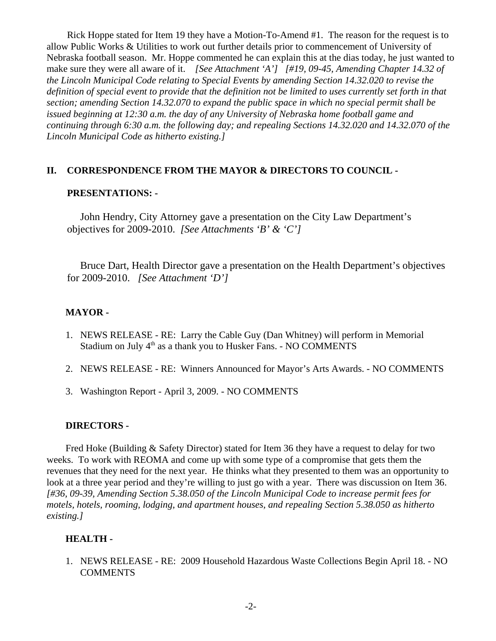Rick Hoppe stated for Item 19 they have a Motion-To-Amend #1. The reason for the request is to allow Public Works & Utilities to work out further details prior to commencement of University of Nebraska football season. Mr. Hoppe commented he can explain this at the dias today, he just wanted to make sure they were all aware of it. *[See Attachment 'A'] [#19, 09-45, Amending Chapter 14.32 of the Lincoln Municipal Code relating to Special Events by amending Section 14.32.020 to revise the definition of special event to provide that the definition not be limited to uses currently set forth in that section; amending Section 14.32.070 to expand the public space in which no special permit shall be issued beginning at 12:30 a.m. the day of any University of Nebraska home football game and continuing through 6:30 a.m. the following day; and repealing Sections 14.32.020 and 14.32.070 of the Lincoln Municipal Code as hitherto existing.]*

### **II. CORRESPONDENCE FROM THE MAYOR & DIRECTORS TO COUNCIL -**

### **PRESENTATIONS: -**

John Hendry, City Attorney gave a presentation on the City Law Department's objectives for 2009-2010. *[See Attachments 'B' & 'C']* 

Bruce Dart, Health Director gave a presentation on the Health Department's objectives for 2009-2010. *[See Attachment 'D']* 

### **MAYOR -**

- 1. NEWS RELEASE RE: Larry the Cable Guy (Dan Whitney) will perform in Memorial Stadium on July  $4<sup>th</sup>$  as a thank you to Husker Fans. - NO COMMENTS
- 2. NEWS RELEASE RE: Winners Announced for Mayor's Arts Awards. NO COMMENTS
- 3. Washington Report April 3, 2009. NO COMMENTS

### **DIRECTORS -**

Fred Hoke (Building & Safety Director) stated for Item 36 they have a request to delay for two weeks. To work with REOMA and come up with some type of a compromise that gets them the revenues that they need for the next year. He thinks what they presented to them was an opportunity to look at a three year period and they're willing to just go with a year. There was discussion on Item 36. *[#36, 09-39, Amending Section 5.38.050 of the Lincoln Municipal Code to increase permit fees for motels, hotels, rooming, lodging, and apartment houses, and repealing Section 5.38.050 as hitherto existing.]*

# **HEALTH -**

1. NEWS RELEASE - RE: 2009 Household Hazardous Waste Collections Begin April 18. - NO **COMMENTS**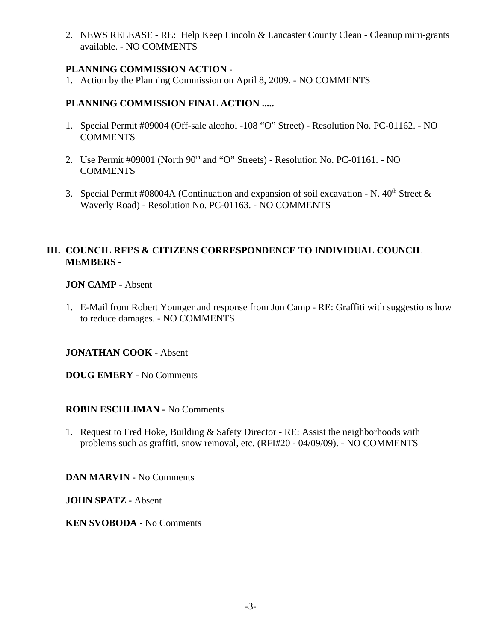2. NEWS RELEASE - RE: Help Keep Lincoln & Lancaster County Clean - Cleanup mini-grants available. - NO COMMENTS

# **PLANNING COMMISSION ACTION** -

1. Action by the Planning Commission on April 8, 2009. - NO COMMENTS

# **PLANNING COMMISSION FINAL ACTION .....**

- 1. Special Permit #09004 (Off-sale alcohol -108 "O" Street) Resolution No. PC-01162. NO **COMMENTS**
- 2. Use Permit  $\#09001$  (North  $90<sup>th</sup>$  and "O" Streets) Resolution No. PC-01161. NO **COMMENTS**
- 3. Special Permit #08004A (Continuation and expansion of soil excavation N.  $40<sup>th</sup>$  Street  $\&$ Waverly Road) - Resolution No. PC-01163. - NO COMMENTS

# **III. COUNCIL RFI'S & CITIZENS CORRESPONDENCE TO INDIVIDUAL COUNCIL MEMBERS -**

# **JON CAMP -** Absent

1. E-Mail from Robert Younger and response from Jon Camp - RE: Graffiti with suggestions how to reduce damages. - NO COMMENTS

# **JONATHAN COOK -** Absent

**DOUG EMERY -** No Comments

# **ROBIN ESCHLIMAN -** No Comments

1. Request to Fred Hoke, Building & Safety Director - RE: Assist the neighborhoods with problems such as graffiti, snow removal, etc. (RFI#20 - 04/09/09). - NO COMMENTS

**DAN MARVIN -** No Comments

**JOHN SPATZ -** Absent

**KEN SVOBODA -** No Comments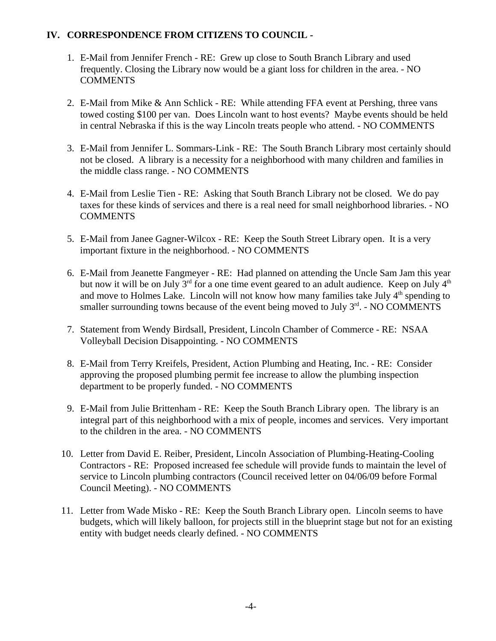# **IV. CORRESPONDENCE FROM CITIZENS TO COUNCIL -**

- 1. E-Mail from Jennifer French RE: Grew up close to South Branch Library and used frequently. Closing the Library now would be a giant loss for children in the area. - NO COMMENTS
- 2. E-Mail from Mike & Ann Schlick RE: While attending FFA event at Pershing, three vans towed costing \$100 per van. Does Lincoln want to host events? Maybe events should be held in central Nebraska if this is the way Lincoln treats people who attend. - NO COMMENTS
- 3. E-Mail from Jennifer L. Sommars-Link RE: The South Branch Library most certainly should not be closed. A library is a necessity for a neighborhood with many children and families in the middle class range. - NO COMMENTS
- 4. E-Mail from Leslie Tien RE: Asking that South Branch Library not be closed. We do pay taxes for these kinds of services and there is a real need for small neighborhood libraries. - NO COMMENTS
- 5. E-Mail from Janee Gagner-Wilcox RE: Keep the South Street Library open. It is a very important fixture in the neighborhood. - NO COMMENTS
- 6. E-Mail from Jeanette Fangmeyer RE: Had planned on attending the Uncle Sam Jam this year but now it will be on July  $3<sup>rd</sup>$  for a one time event geared to an adult audience. Keep on July  $4<sup>th</sup>$ and move to Holmes Lake. Lincoln will not know how many families take July  $4<sup>th</sup>$  spending to smaller surrounding towns because of the event being moved to July  $3<sup>rd</sup>$ . - NO COMMENTS
- 7. Statement from Wendy Birdsall, President, Lincoln Chamber of Commerce RE: NSAA Volleyball Decision Disappointing. - NO COMMENTS
- 8. E-Mail from Terry Kreifels, President, Action Plumbing and Heating, Inc. RE: Consider approving the proposed plumbing permit fee increase to allow the plumbing inspection department to be properly funded. - NO COMMENTS
- 9. E-Mail from Julie Brittenham RE: Keep the South Branch Library open. The library is an integral part of this neighborhood with a mix of people, incomes and services. Very important to the children in the area. - NO COMMENTS
- 10. Letter from David E. Reiber, President, Lincoln Association of Plumbing-Heating-Cooling Contractors - RE: Proposed increased fee schedule will provide funds to maintain the level of service to Lincoln plumbing contractors (Council received letter on 04/06/09 before Formal Council Meeting). - NO COMMENTS
- 11. Letter from Wade Misko RE: Keep the South Branch Library open. Lincoln seems to have budgets, which will likely balloon, for projects still in the blueprint stage but not for an existing entity with budget needs clearly defined. - NO COMMENTS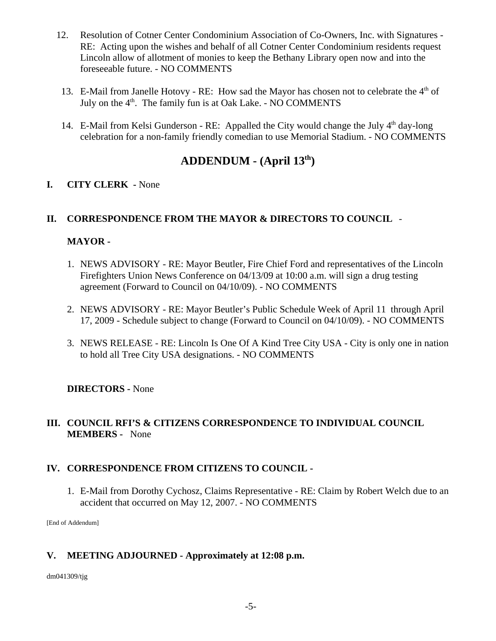- 12. Resolution of Cotner Center Condominium Association of Co-Owners, Inc. with Signatures RE: Acting upon the wishes and behalf of all Cotner Center Condominium residents request Lincoln allow of allotment of monies to keep the Bethany Library open now and into the foreseeable future. - NO COMMENTS
- 13. E-Mail from Janelle Hotovy RE: How sad the Mayor has chosen not to celebrate the 4<sup>th</sup> of July on the  $4<sup>th</sup>$ . The family fun is at Oak Lake. - NO COMMENTS
- 14. E-Mail from Kelsi Gunderson RE: Appalled the City would change the July  $4<sup>th</sup>$  day-long celebration for a non-family friendly comedian to use Memorial Stadium. - NO COMMENTS

# **ADDENDUM - (April 13th)**

# **I. CITY CLERK -** None

# **II. CORRESPONDENCE FROM THE MAYOR & DIRECTORS TO COUNCIL** -

# **MAYOR -**

- 1. NEWS ADVISORY RE: Mayor Beutler, Fire Chief Ford and representatives of the Lincoln Firefighters Union News Conference on 04/13/09 at 10:00 a.m. will sign a drug testing agreement (Forward to Council on 04/10/09). - NO COMMENTS
- 2. NEWS ADVISORY RE: Mayor Beutler's Public Schedule Week of April 11 through April 17, 2009 - Schedule subject to change (Forward to Council on 04/10/09). - NO COMMENTS
- 3. NEWS RELEASE RE: Lincoln Is One Of A Kind Tree City USA City is only one in nation to hold all Tree City USA designations. - NO COMMENTS

# **DIRECTORS -** None

# **III. COUNCIL RFI'S & CITIZENS CORRESPONDENCE TO INDIVIDUAL COUNCIL MEMBERS -** None

# **IV. CORRESPONDENCE FROM CITIZENS TO COUNCIL -**

1. E-Mail from Dorothy Cychosz, Claims Representative - RE: Claim by Robert Welch due to an accident that occurred on May 12, 2007. - NO COMMENTS

[End of Addendum]

# **V. MEETING ADJOURNED - Approximately at 12:08 p.m.**

dm041309/tjg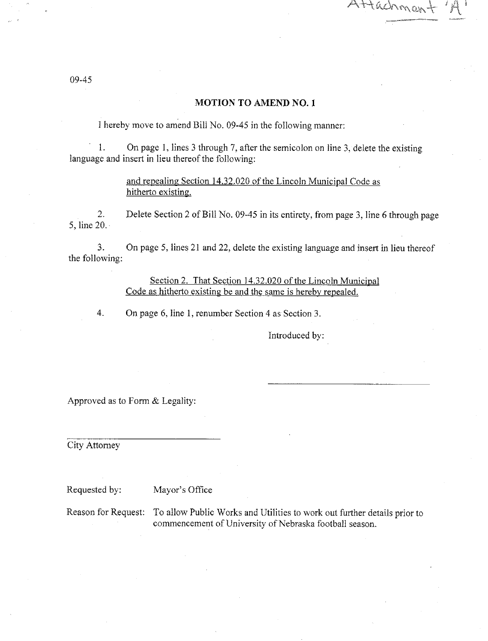Attachmor

#### **MOTION TO AMEND NO. 1**

I hereby move to amend Bill No. 09-45 in the following manner:

On page 1, lines 3 through 7, after the semicolon on line 3, delete the existing  $1.$ language and insert in lieu thereof the following:

> and repealing Section 14.32.020 of the Lincoln Municipal Code as hitherto existing.

 $2.$ Delete Section 2 of Bill No. 09-45 in its entirety, from page 3, line 6 through page 5, line  $20 -$ 

 $3<sub>1</sub>$ On page 5, lines 21 and 22, delete the existing language and insert in lieu thereof the following:

> Section 2. That Section 14.32.020 of the Lincoln Municipal Code as hitherto existing be and the same is hereby repealed.

On page 6, line 1, renumber Section 4 as Section 3. 4.

Introduced by:

Approved as to Form & Legality:

City Attorney

Requested by: Mayor's Office

To allow Public Works and Utilities to work out further details prior to Reason for Request: commencement of University of Nebraska football season.

09-45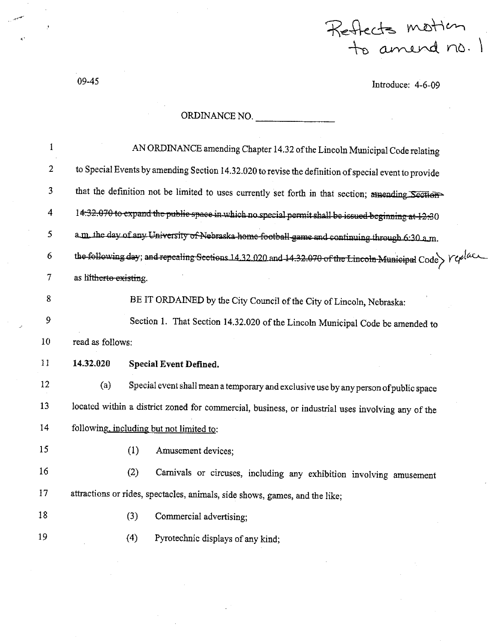Reflects motten<br>to amend no. 1

Introduce: 4-6-09

 $09 - 45$ 

# ORDINANCE NO.

 $\mathcal{L}_{\mathcal{A}}$ 

 $\frac{1}{2} \left( \frac{1}{2} \frac{1}{2} \frac{1}{2} \frac{1}{2} \frac{1}{2} \frac{1}{2} \frac{1}{2} \frac{1}{2} \frac{1}{2} \frac{1}{2} \frac{1}{2} \frac{1}{2} \frac{1}{2} \frac{1}{2} \frac{1}{2} \frac{1}{2} \frac{1}{2} \frac{1}{2} \frac{1}{2} \frac{1}{2} \frac{1}{2} \frac{1}{2} \frac{1}{2} \frac{1}{2} \frac{1}{2} \frac{1}{2} \frac{1}{2} \frac{1}{2} \frac{1}{2} \frac{1}{2}$ 

 $\mathcal{L}_{\text{max}}$ 

| $\bf{1}$       | AN ORDINANCE amending Chapter 14.32 of the Lincoln Municipal Code relating                                                                                  |                                                                                      |  |  |
|----------------|-------------------------------------------------------------------------------------------------------------------------------------------------------------|--------------------------------------------------------------------------------------|--|--|
| $\overline{2}$ | to Special Events by amending Section 14.32.020 to revise the definition of special event to provide                                                        |                                                                                      |  |  |
| 3              | that the definition not be limited to uses currently set forth in that section; amending Section                                                            |                                                                                      |  |  |
| 4              | 14.32.070 to expand the public space in which no special permit shall be issued beginning at 12.30                                                          |                                                                                      |  |  |
| 5              | a.m. the day of any University of Nebraska home football game and continuing through 6:30 a.m.                                                              |                                                                                      |  |  |
| 6              | the following day; and repeating Sections 14.32.020 and 14.32.070 of the Lincoln Municipal Code $\triangleright$ $\mathcal{V}\mathcal{\varphi}^{[a\cup b]}$ |                                                                                      |  |  |
| 7              | as hitherto existing.                                                                                                                                       |                                                                                      |  |  |
| 8              |                                                                                                                                                             | BE IT ORDAINED by the City Council of the City of Lincoln, Nebraska:                 |  |  |
| 9              |                                                                                                                                                             | Section 1. That Section 14.32.020 of the Lincoln Municipal Code be amended to        |  |  |
| 10             | read as follows:                                                                                                                                            |                                                                                      |  |  |
| $\mathbf{11}$  | 14.32.020                                                                                                                                                   | Special Event Defined.                                                               |  |  |
| 12             | (a)                                                                                                                                                         | Special event shall mean a temporary and exclusive use by any person of public space |  |  |
| 13             | located within a district zoned for commercial, business, or industrial uses involving any of the                                                           |                                                                                      |  |  |
| 14             | following, including but not limited to:                                                                                                                    |                                                                                      |  |  |
| 15             |                                                                                                                                                             | (1)<br>Amusement devices;                                                            |  |  |
| 16             |                                                                                                                                                             | (2)<br>Carnivals or circuses, including any exhibition involving amusement           |  |  |
| 17             |                                                                                                                                                             | attractions or rides, spectacles, animals, side shows, games, and the like;          |  |  |
| 18             |                                                                                                                                                             | (3)<br>Commercial advertising;                                                       |  |  |
| 19             |                                                                                                                                                             | (4)<br>Pyrotechnic displays of any kind;                                             |  |  |
|                |                                                                                                                                                             |                                                                                      |  |  |

 $\mathbb{R}^{d}$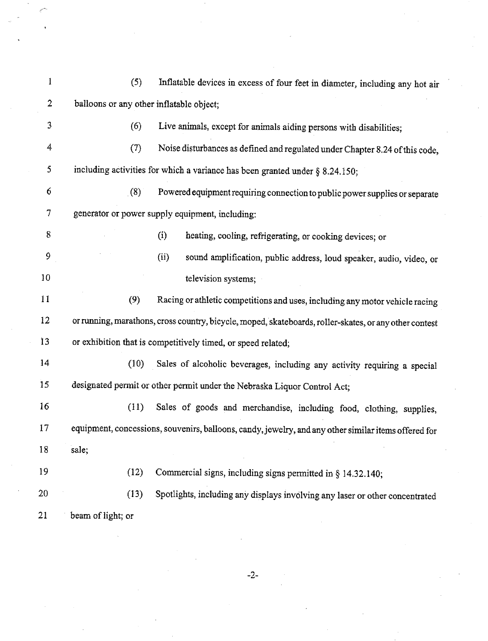| 1                | (5)                                                                                                    | Inflatable devices in excess of four feet in diameter, including any hot air                         |  |  |  |
|------------------|--------------------------------------------------------------------------------------------------------|------------------------------------------------------------------------------------------------------|--|--|--|
| $\boldsymbol{2}$ | balloons or any other inflatable object;                                                               |                                                                                                      |  |  |  |
| 3                | (6)                                                                                                    | Live animals, except for animals aiding persons with disabilities;                                   |  |  |  |
| 4                | (7)                                                                                                    | Noise disturbances as defined and regulated under Chapter 8.24 of this code,                         |  |  |  |
| 5                |                                                                                                        | including activities for which a variance has been granted under § 8.24.150;                         |  |  |  |
| 6                | (8)                                                                                                    | Powered equipment requiring connection to public power supplies or separate                          |  |  |  |
| 7                | generator or power supply equipment, including:                                                        |                                                                                                      |  |  |  |
| 8                |                                                                                                        | (i)<br>heating, cooling, refrigerating, or cooking devices; or                                       |  |  |  |
| 9                |                                                                                                        | (ii)<br>sound amplification, public address, loud speaker, audio, video, or                          |  |  |  |
| 10               |                                                                                                        | television systems;                                                                                  |  |  |  |
| 11               | (9)                                                                                                    | Racing or athletic competitions and uses, including any motor vehicle racing                         |  |  |  |
| 12               | or running, marathons, cross country, bicycle, moped, skateboards, roller-skates, or any other contest |                                                                                                      |  |  |  |
| 13               | or exhibition that is competitively timed, or speed related;                                           |                                                                                                      |  |  |  |
| 14               | (10)                                                                                                   | Sales of alcoholic beverages, including any activity requiring a special                             |  |  |  |
| 15               |                                                                                                        | designated permit or other permit under the Nebraska Liquor Control Act;                             |  |  |  |
| 16               | (11)                                                                                                   | Sales of goods and merchandise, including food, clothing, supplies,                                  |  |  |  |
| 17               |                                                                                                        | equipment, concessions, souvenirs, balloons, candy, jewelry, and any other similar items offered for |  |  |  |
| 18               | sale;                                                                                                  |                                                                                                      |  |  |  |
| 19               | (12)                                                                                                   | Commercial signs, including signs permitted in $\S$ 14.32.140;                                       |  |  |  |
| 20               | (13)                                                                                                   | Spotlights, including any displays involving any laser or other concentrated                         |  |  |  |
| $^{21}$          | beam of light; or                                                                                      |                                                                                                      |  |  |  |

 $-2-$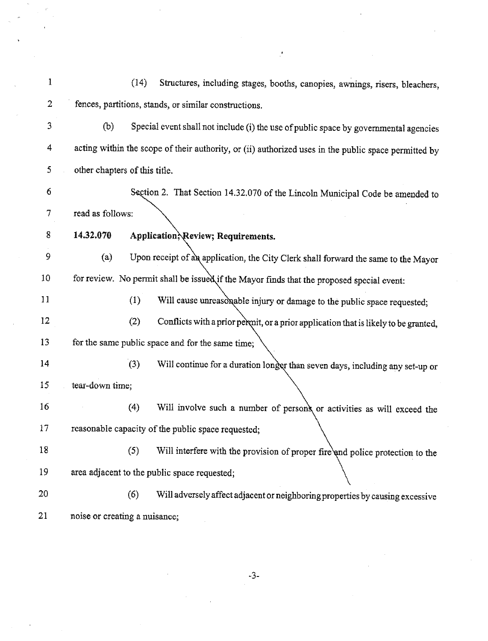| 1  |                               | (14)<br>Structures, including stages, booths, canopies, awnings, risers, bleachers,                  |
|----|-------------------------------|------------------------------------------------------------------------------------------------------|
| 2  |                               | fences, partitions, stands, or similar constructions.                                                |
| 3  | (b)                           | Special event shall not include (i) the use of public space by governmental agencies                 |
| 4  |                               | acting within the scope of their authority, or (ii) authorized uses in the public space permitted by |
| 5  | other chapters of this title. |                                                                                                      |
| 6  |                               | Section 2. That Section 14.32.070 of the Lincoln Municipal Code be amended to                        |
| 7  | read as follows:              |                                                                                                      |
| 8  | 14.32.070                     | Application, Review; Requirements.                                                                   |
| 9  | (a)                           | Upon receipt of an application, the City Clerk shall forward the same to the Mayor                   |
| 10 |                               | for review. No permit shall be issued if the Mayor finds that the proposed special event:            |
| 11 | (1)                           | Will cause unreasonable injury or damage to the public space requested;                              |
| 12 | (2)                           | Conflicts with a prior permit, or a prior application that is likely to be granted,                  |
| 13 |                               | for the same public space and for the same time;                                                     |
| 14 | (3)                           | Will continue for a duration longer than seven days, including any set-up or                         |
| 15 | tear-down time;               |                                                                                                      |
| 16 | (4)                           | Will involve such a number of persons or activities as will exceed the                               |
| 17 |                               | reasonable capacity of the public space requested;                                                   |
| 18 | (5)                           | Will interfere with the provision of proper fire and police protection to the                        |
| 19 |                               | area adjacent to the public space requested;                                                         |
| 20 | (6)                           | Will adversely affect adjacent or neighboring properties by causing excessive                        |
| 21 | noise or creating a nuisance; |                                                                                                      |

 $\frac{1}{2}$ 

 $\frac{1}{2}$ 

 $-3-$ 

 $\label{eq:2.1} \frac{1}{\sqrt{2\pi}}\int_{0}^{\infty}\frac{1}{\sqrt{2\pi}}\left(\frac{1}{\sqrt{2\pi}}\right)^{2\pi} \frac{1}{\sqrt{2\pi}}\int_{0}^{\infty}\frac{1}{\sqrt{2\pi}}\frac{1}{\sqrt{2\pi}}\frac{1}{\sqrt{2\pi}}\frac{1}{\sqrt{2\pi}}\frac{1}{\sqrt{2\pi}}\frac{1}{\sqrt{2\pi}}\frac{1}{\sqrt{2\pi}}\frac{1}{\sqrt{2\pi}}\frac{1}{\sqrt{2\pi}}\frac{1}{\sqrt{2\pi}}\frac{1}{\sqrt{2\pi}}\frac{$ 

 $\label{eq:2.1} \frac{1}{\sqrt{2}}\sum_{i=1}^n\frac{1}{\sqrt{2}}\sum_{i=1}^n\frac{1}{\sqrt{2}}\sum_{i=1}^n\frac{1}{\sqrt{2}}\sum_{i=1}^n\frac{1}{\sqrt{2}}\sum_{i=1}^n\frac{1}{\sqrt{2}}\sum_{i=1}^n\frac{1}{\sqrt{2}}\sum_{i=1}^n\frac{1}{\sqrt{2}}\sum_{i=1}^n\frac{1}{\sqrt{2}}\sum_{i=1}^n\frac{1}{\sqrt{2}}\sum_{i=1}^n\frac{1}{\sqrt{2}}\sum_{i=1}^n\frac$ 

 $\label{eq:2.1} \begin{split} \mathcal{L}_{\text{max}}(\mathbf{r}) = \mathcal{L}_{\text{max}}(\mathbf{r}) \mathcal{L}_{\text{max}}(\mathbf{r}) \,, \end{split}$ 

 $\frac{1}{2}$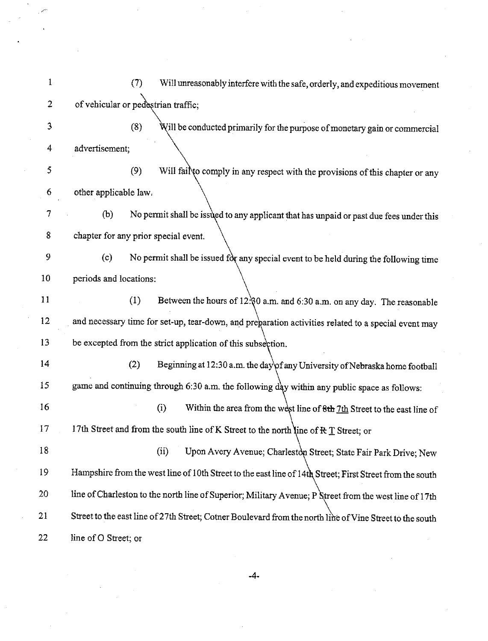$\mathbf{1}$  $(7)$ Will unreasonably interfere with the safe, orderly, and expeditious movement of vehicular or pedestrian traffic;  $\overline{2}$  $\overline{3}$ Will be conducted primarily for the purpose of monetary gain or commercial  $(8)$ 4 advertisement: 5  $(9)$ Will fail to comply in any respect with the provisions of this chapter or any 6 other applicable law.  $\overline{7}$ No permit shall be issued to any applicant that has unpaid or past due fees under this  $(b)$ 8 chapter for any prior special event. 9 No permit shall be issued for any special event to be held during the following time  $(c)$ 10 periods and locations: Between the hours of 12:80 a.m. and 6:30 a.m. on any day. The reasonable  $11$  $(1)$ 12 and necessary time for set-up, tear-down, and preparation activities related to a special event may 13 be excepted from the strict application of this subsection.  $14$  $(2)$ Beginning at 12:30 a.m. the day of any University of Nebraska home football game and continuing through 6:30 a.m. the following day within any public space as follows:  $15$ 16  $(i)$ Within the area from the west line of 8th 7th Street to the east line of 17 17th Street and from the south line of K Street to the north line of  $R T$  Street; or 18  $(ii)$ Upon Avery Avenue; Charleston Street; State Fair Park Drive; New Hampshire from the west line of 10th Street to the east line of 14th Street; First Street from the south 19 line of Charleston to the north line of Superior; Military Avenue; P Street from the west line of 17th 20 21 Street to the east line of 27th Street; Cotner Boulevard from the north line of Vine Street to the south 22 line of O Street; or

 $-4-$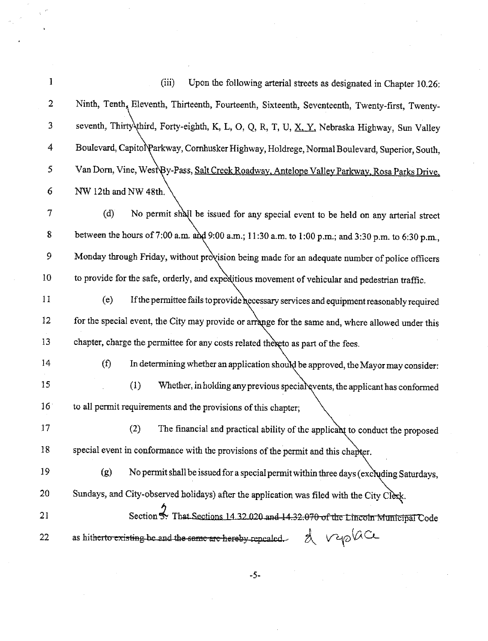| 1               | (iii)<br>Upon the following arterial streets as designated in Chapter 10.26:                       |
|-----------------|----------------------------------------------------------------------------------------------------|
| $\overline{2}$  | Ninth, Tenth, Eleventh, Thirteenth, Fourteenth, Sixteenth, Seventeenth, Twenty-first, Twenty-      |
| 3               | seventh, Thirty third, Forty-eighth, K, L, O, Q, R, T, U, X, Y, Nebraska Highway, Sun Valley       |
| 4               | Boulevard, Capitol Parkway, Cornhusker Highway, Holdrege, Normal Boulevard, Superior, South,       |
| 5               | Van Dorn, Vine, West By-Pass, Salt Creek Roadway, Antelope Valley Parkway, Rosa Parks Drive,       |
| 6               | NW 12th and NW 48th.                                                                               |
| 7               | (d)<br>No permit shall be issued for any special event to be held on any arterial street           |
| 8               | between the hours of 7:00 a.m. and 9:00 a.m.; 11:30 a.m. to 1:00 p.m.; and 3:30 p.m. to 6:30 p.m., |
| 9               | Monday through Friday, without provision being made for an adequate number of police officers      |
| 10              | to provide for the safe, orderly, and expeditious movement of vehicular and pedestrian traffic.    |
| 11              | (e)<br>If the permittee fails to provide hecessary services and equipment reasonably required      |
| 12              | for the special event, the City may provide or arrange for the same and, where allowed under this  |
| 13              | chapter, charge the permittee for any costs related thereto as part of the fees.                   |
| 14              | (f)<br>In determining whether an application should be approved, the Mayor may consider:           |
| 15              | (1)<br>Whether, in holding any previous special events, the applicant has conformed                |
| 16 <sup>°</sup> | to all permit requirements and the provisions of this chapter;                                     |
| 17              | (2)<br>The financial and practical ability of the applicant to conduct the proposed                |
| 18              | special event in conformance with the provisions of the permit and this chapter.                   |
| 19              | (g)<br>No permit shall be issued for a special permit within three days (excluding Saturdays,      |
| 20              | Sundays, and City-observed holidays) after the application was filed with the City Clerk.          |
| 21              | Section 3. That Sections 14.32.020 and 14.32.070 of the Lincoln Municipal Code                     |
| 22              | as hitherto existing be and the same are hereby repealed. $\lambda \nabla \phi \circ \alpha$       |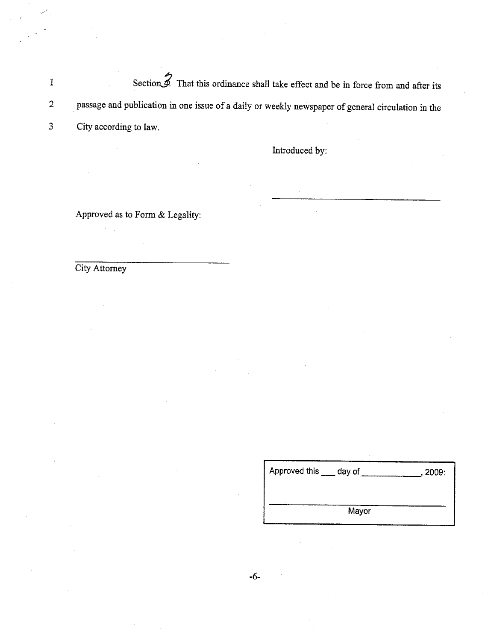Section 2. That this ordinance shall take effect and be in force from and after its  $\mathbf{I}$ passage and publication in one issue of a daily or weekly newspaper of general circulation in the  $\overline{2}$  $\overline{3}$ . City according to law.

Introduced by:

Approved as to Form & Legality:

City Attorney

| Approved this ___ day of | , 2009: |
|--------------------------|---------|
|                          |         |
| Mayor                    |         |
|                          |         |

 $-6-$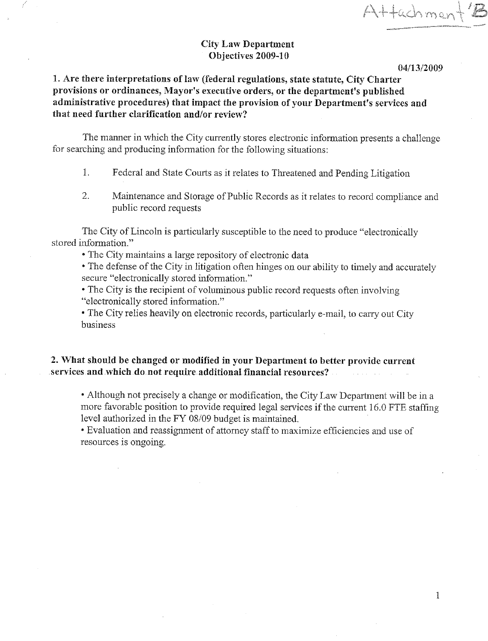Attachmer

### **City Law Department** Objectives 2009-10

04/13/2009

# 1. Are there interpretations of law (federal regulations, state statute, City Charter provisions or ordinances, Mayor's executive orders, or the department's published administrative procedures) that impact the provision of your Department's services and that need further clarification and/or review?

The manner in which the City currently stores electronic information presents a challenge for searching and producing information for the following situations:

- $\mathbf{1}$ . Federal and State Courts as it relates to Threatened and Pending Litigation
- Maintenance and Storage of Public Records as it relates to record compliance and  $2.$ public record requests

The City of Lincoln is particularly susceptible to the need to produce "electronically" stored information."

• The City maintains a large repository of electronic data

• The defense of the City in litigation often hinges on our ability to timely and accurately secure "electronically stored information."

• The City is the recipient of voluminous public record requests often involving "electronically stored information."

• The City relies heavily on electronic records, particularly e-mail, to carry out City business

### 2. What should be changed or modified in your Department to better provide current services and which do not require additional financial resources?

• Although not precisely a change or modification, the City Law Department will be in a more favorable position to provide required legal services if the current 16.0 FTE staffing level authorized in the FY 08/09 budget is maintained.

• Evaluation and reassignment of attorney staff to maximize efficiencies and use of resources is ongoing.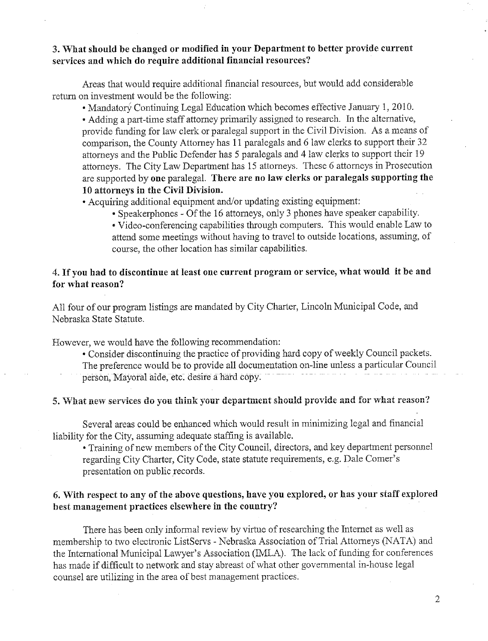### 3. What should be changed or modified in your Department to better provide current services and which do require additional financial resources?

Areas that would require additional financial resources, but would add considerable return on investment would be the following:

• Mandatory Continuing Legal Education which becomes effective January 1, 2010.

• Adding a part-time staff attorney primarily assigned to research. In the alternative, provide funding for law clerk or paralegal support in the Civil Division. As a means of comparison, the County Attorney has 11 paralegals and 6 law clerks to support their 32 attorneys and the Public Defender has 5 paralegals and 4 law clerks to support their 19 attorneys. The City Law Department has 15 attorneys. These 6 attorneys in Prosecution are supported by one paralegal. There are no law clerks or paralegals supporting the 10 attorneys in the Civil Division.

• Acquiring additional equipment and/or updating existing equipment:

• Speakerphones - Of the 16 attorneys, only 3 phones have speaker capability.

• Video-conferencing capabilities through computers. This would enable Law to attend some meetings without having to travel to outside locations, assuming, of course, the other location has similar capabilities.

### 4. If you had to discontinue at least one current program or service, what would it be and for what reason?

All four of our program listings are mandated by City Charter, Lincoln Municipal Code, and Nebraska State Statute.

However, we would have the following recommendation:

• Consider discontinuing the practice of providing hard copy of weekly Council packets. The preference would be to provide all documentation on-line unless a particular Council person, Mayoral aide, etc. desire a hard copy.

#### 5. What new services do you think your department should provide and for what reason?

Several areas could be enhanced which would result in minimizing legal and financial liability for the City, assuming adequate staffing is available.

• Training of new members of the City Council, directors, and key department personnel regarding City Charter, City Code, state statute requirements, e.g. Dale Comer's presentation on public records.

### 6. With respect to any of the above questions, have you explored, or has your staff explored best management practices elsewhere in the country?

There has been only informal review by virtue of researching the Internet as well as membership to two electronic ListServs - Nebraska Association of Trial Attorneys (NATA) and the International Municipal Lawyer's Association (IMLA). The lack of funding for conferences has made if difficult to network and stay abreast of what other governmental in-house legal counsel are utilizing in the area of best management practices.

 $\overline{2}$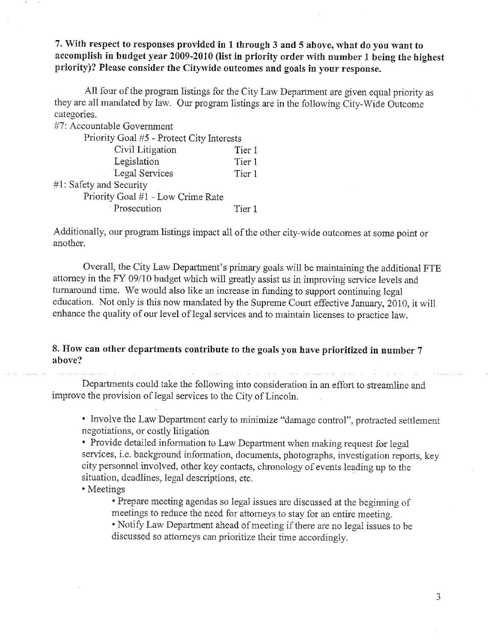7. With respect to responses provided in 1 through 3 and 5 above, what do you want to accomplish in budget year 2009-2010 (list in priority order with number 1 being the highest priority)? Please consider the Citywide outcomes and goals in your response.

All four of the program listings for the City Law Department are given equal priority as they are all mandated by law. Our program listings are in the following City-Wide Outcome categories.

| #7: Accountable Government                |        |  |  |
|-------------------------------------------|--------|--|--|
| Priority Goal #5 - Protect City Interests |        |  |  |
| Civil Litigation                          | Tier 1 |  |  |
| Legislation                               | Tier 1 |  |  |
| Legal Services                            | Tier 1 |  |  |
| #1: Safety and Security                   |        |  |  |
| Priority Goal #1 - Low Crime Rate         |        |  |  |
| Prosecution                               | Tier 1 |  |  |

Additionally, our program listings impact all of the other city-wide outcomes at some point or another.

Overall, the City Law Department's primary goals will be maintaining the additional FTE attorney in the FY 09/10 budget which will greatly assist us in improving service levels and turnaround time. We would also like an increase in funding to support continuing legal education. Not only is this now mandated by the Supreme Court effective January, 2010, it will enhance the quality of our level of legal services and to maintain licenses to practice law.

### 8. How can other departments contribute to the goals you have prioritized in number 7 above?

Departments could take the following into consideration in an effort to streamline and improve the provision of legal services to the City of Lincoln.

• Involve the Law Department early to minimize "damage control", protracted settlement negotiations, or costly litigation

• Provide detailed information to Law Department when making request for legal services, i.e. background information, documents, photographs, investigation reports, key city personnel involved, other key contacts, chronology of events leading up to the situation, deadlines, legal descriptions, etc.

• Meetings

• Prepare meeting agendas so legal issues are discussed at the beginning of meetings to reduce the need for attorneys to stay for an entire meeting.

• Notify Law Department ahead of meeting if there are no legal issues to be discussed so attorneys can prioritize their time accordingly.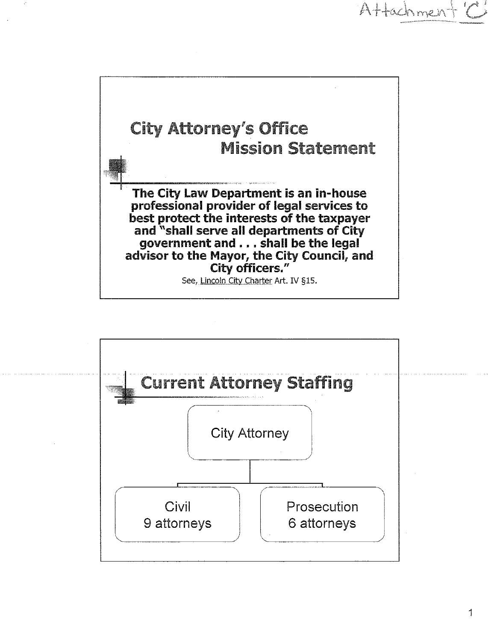



Attachment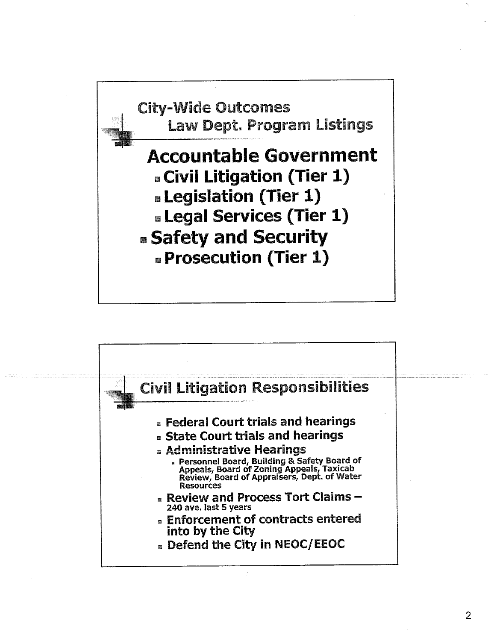

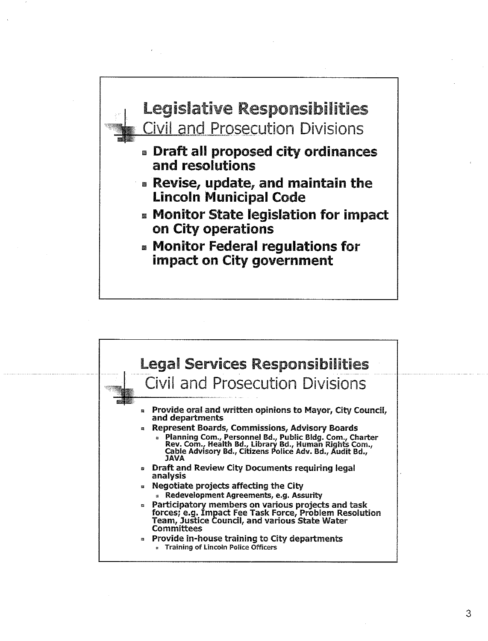

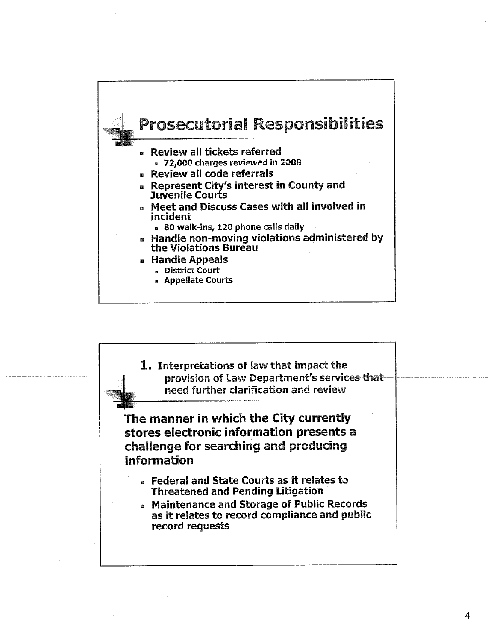

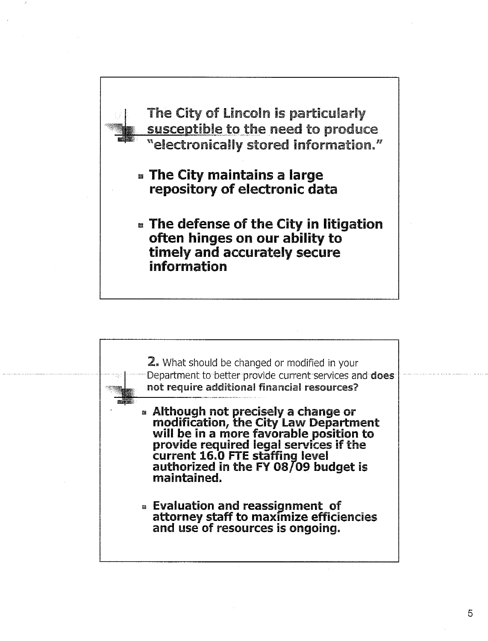

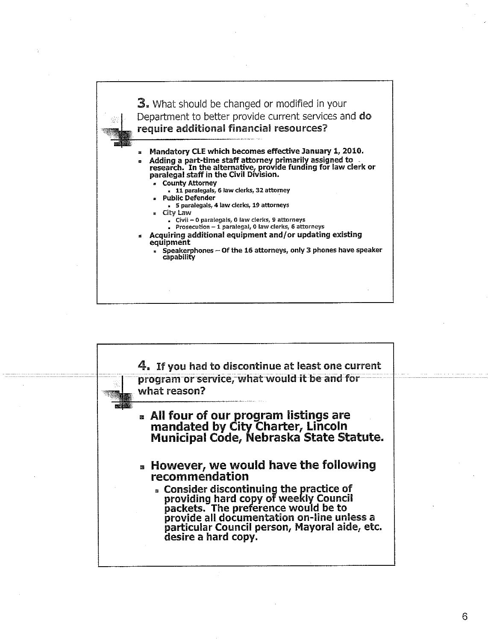

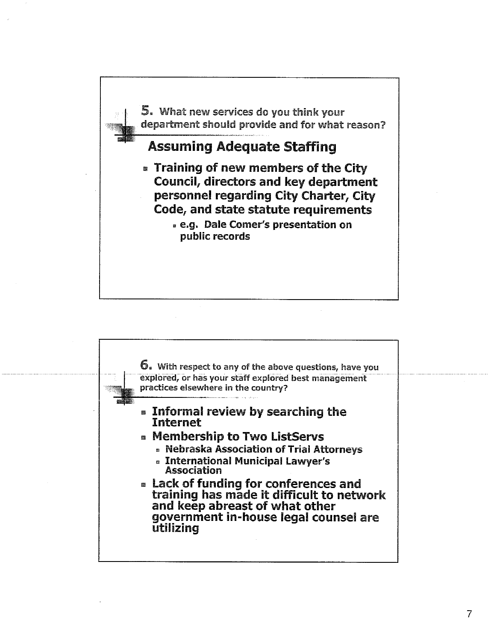

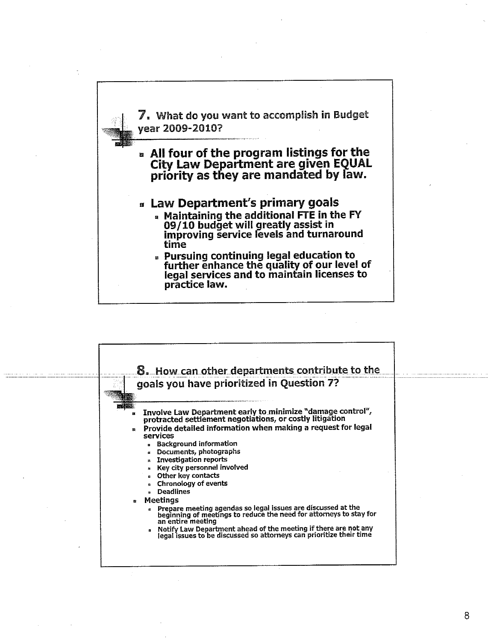

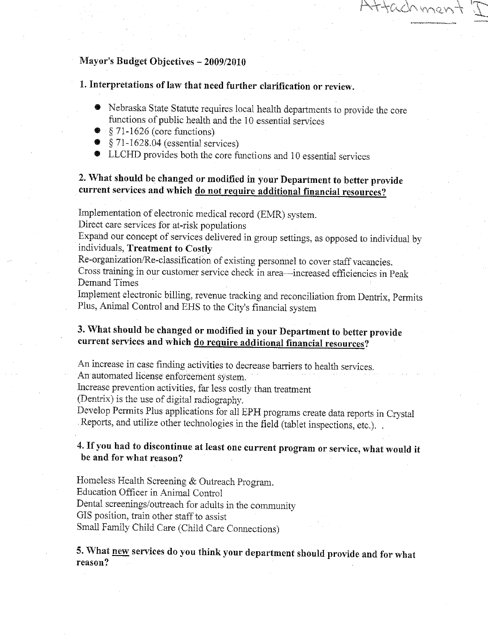# Mayor's Budget Objectives - 2009/2010

1. Interpretations of law that need further clarification or review.

- Nebraska State Statute requires local health departments to provide the core functions of public health and the 10 essential services
- $\bullet$  § 71-1626 (core functions)
- $\bullet$  § 71-1628.04 (essential services)
- LLCHD provides both the core functions and 10 essential services

# 2. What should be changed or modified in your Department to better provide current services and which do not require additional financial resources?

Implementation of electronic medical record (EMR) system.

Direct care services for at-risk populations

Expand our concept of services delivered in group settings, as opposed to individual by individuals, Treatment to Costly

Re-organization/Re-classification of existing personnel to cover staff vacancies.

Cross training in our customer service check in area-increased efficiencies in Peak Demand Times

Implement electronic billing, revenue tracking and reconciliation from Dentrix, Permits Plus, Animal Control and EHS to the City's financial system

# 3. What should be changed or modified in your Department to better provide current services and which do require additional financial resources?

An increase in case finding activities to decrease barriers to health services. An automated license enforcement system.

Increase prevention activities, far less costly than treatment

(Dentrix) is the use of digital radiography.

Develop Permits Plus applications for all EPH programs create data reports in Crystal Reports, and utilize other technologies in the field (tablet inspections, etc.). .

# 4. If you had to discontinue at least one current program or service, what would it be and for what reason?

Homeless Health Screening & Outreach Program. Education Officer in Animal Control Dental screenings/outreach for adults in the community GIS position, train other staff to assist Small Family Child Care (Child Care Connections)

5. What new services do you think your department should provide and for what reason?